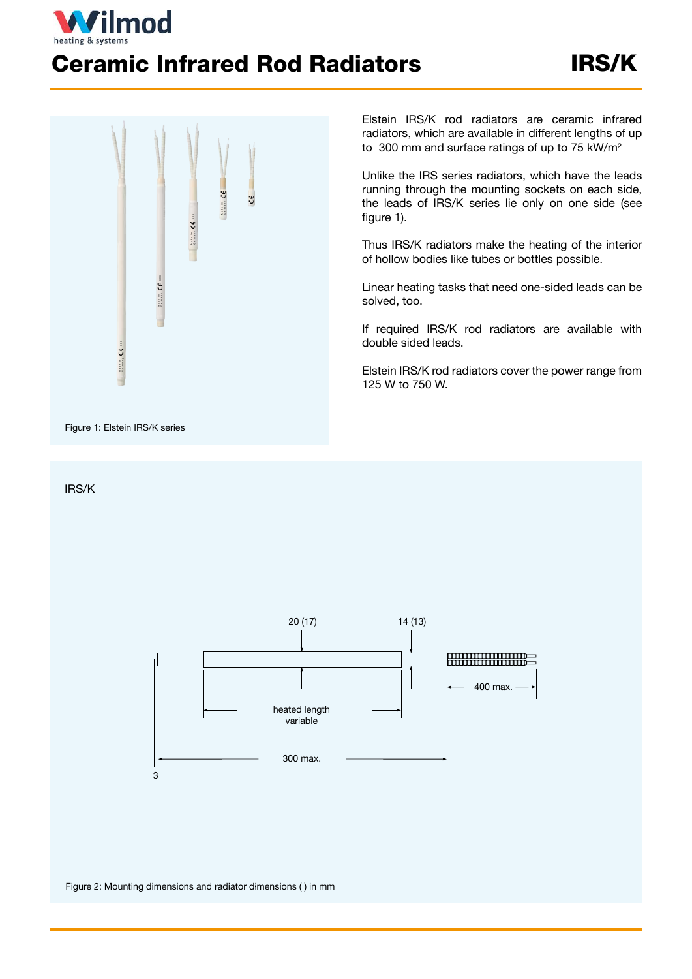

## Ceramic Infrared Rod Radiators IRS/K



IRS/K

Elstein IRS/K rod radiators are ceramic infrared radiators, which are available in different lengths of up to 300 mm and surface ratings of up to 75 kW/m²

Unlike the IRS series radiators, which have the leads running through the mounting sockets on each side, the leads of IRS/K series lie only on one side (see figure 1).

Thus IRS/K radiators make the heating of the interior of hollow bodies like tubes or bottles possible.

Linear heating tasks that need one-sided leads can be solved, too.

If required IRS/K rod radiators are available with double sided leads.

Elstein IRS/K rod radiators cover the power range from 125 W to 750 W.



Figure 2: Mounting dimensions and radiator dimensions ( ) in mm